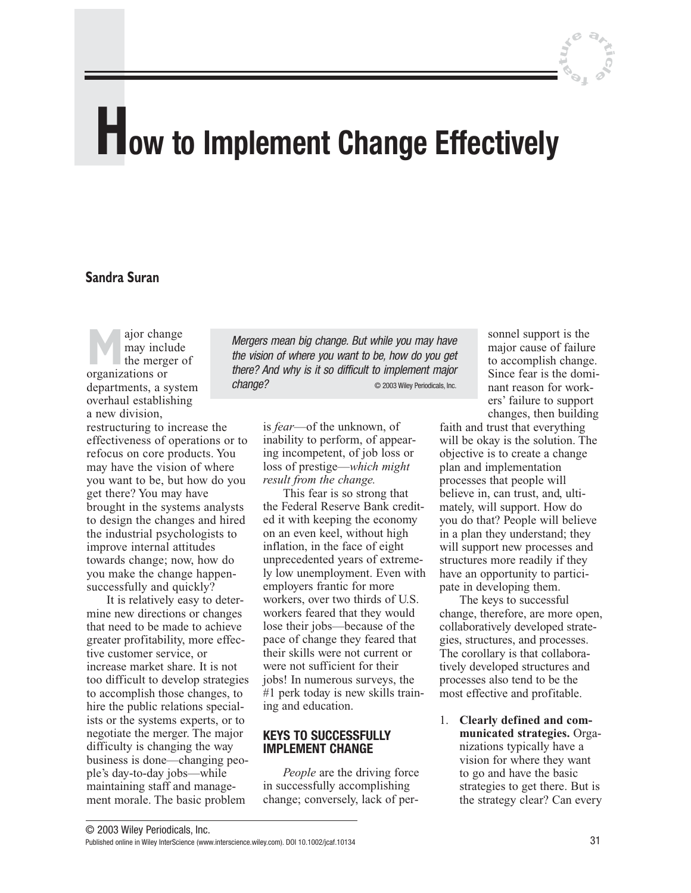# **How to Implement Change Effectively**

# **Sandra Suran**

**M**ajor change may include the merger of organizations or departments, a system overhaul establishing a new division,

restructuring to increase the effectiveness of operations or to refocus on core products. You may have the vision of where you want to be, but how do you get there? You may have brought in the systems analysts to design the changes and hired the industrial psychologists to improve internal attitudes towards change; now, how do you make the change happensuccessfully and quickly?

It is relatively easy to determine new directions or changes that need to be made to achieve greater profitability, more effective customer service, or increase market share. It is not too difficult to develop strategies to accomplish those changes, to hire the public relations specialists or the systems experts, or to negotiate the merger. The major difficulty is changing the way business is done—changing people's day-to-day jobs—while maintaining staff and management morale. The basic problem

Mergers mean big change. But while you may have the vision of where you want to be, how do you get there? And why is it so difficult to implement major change? © 2003 Wiley Periodicals, Inc.

> is *fear*—of the unknown, of inability to perform, of appearing incompetent, of job loss or loss of prestige—*which might result from the change.*

This fear is so strong that the Federal Reserve Bank credited it with keeping the economy on an even keel, without high inflation, in the face of eight unprecedented years of extremely low unemployment. Even with employers frantic for more workers, over two thirds of U.S. workers feared that they would lose their jobs—because of the pace of change they feared that their skills were not current or were not sufficient for their jobs! In numerous surveys, the #1 perk today is new skills training and education.

# **KEYS TO SUCCESSFULLY IMPLEMENT CHANGE**

*People* are the driving force in successfully accomplishing change; conversely, lack of personnel support is the major cause of failure to accomplish change. Since fear is the dominant reason for workers' failure to support changes, then building

**e<sup>f</sup> at**

**<sup>u</sup>r<sup>e</sup> <sup>a</sup>rt<sup>i</sup>c<sup>l</sup>e**

faith and trust that everything will be okay is the solution. The objective is to create a change plan and implementation processes that people will believe in, can trust, and, ultimately, will support. How do you do that? People will believe in a plan they understand; they will support new processes and structures more readily if they have an opportunity to participate in developing them.

The keys to successful change, therefore, are more open, collaboratively developed strategies, structures, and processes. The corollary is that collaboratively developed structures and processes also tend to be the most effective and profitable.

1. **Clearly defined and communicated strategies.** Organizations typically have a vision for where they want to go and have the basic strategies to get there. But is the strategy clear? Can every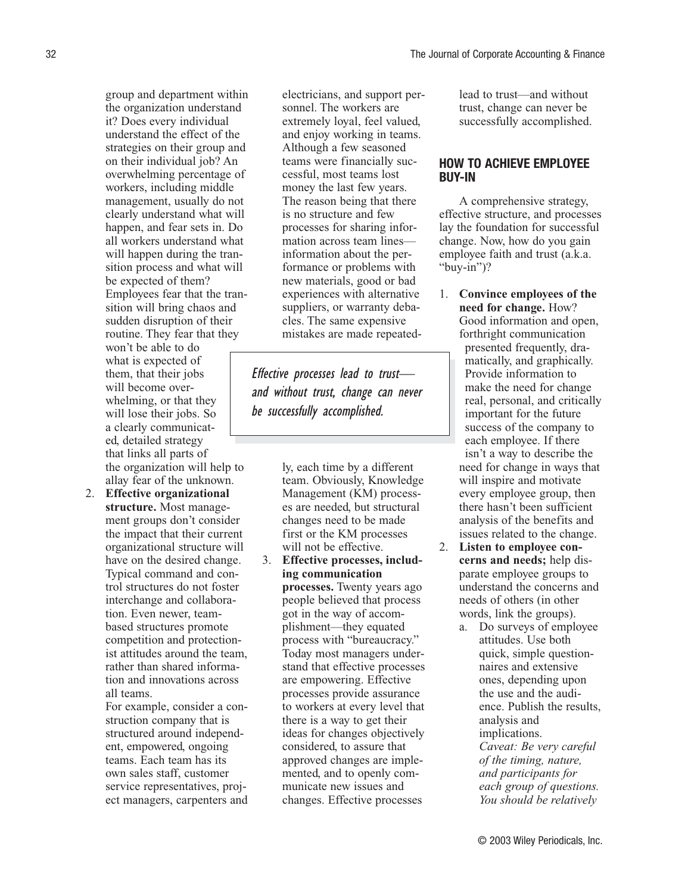group and department within the organization understand it? Does every individual understand the effect of the strategies on their group and on their individual job? An overwhelming percentage of workers, including middle management, usually do not clearly understand what will happen, and fear sets in. Do all workers understand what will happen during the transition process and what will be expected of them? Employees fear that the transition will bring chaos and sudden disruption of their routine. They fear that they

won't be able to do what is expected of them, that their jobs will become overwhelming, or that they will lose their jobs. So a clearly communicated, detailed strategy that links all parts of the organization will help to allay fear of the unknown.

2. **Effective organizational structure.** Most management groups don't consider the impact that their current organizational structure will have on the desired change. Typical command and control structures do not foster interchange and collaboration. Even newer, teambased structures promote competition and protectionist attitudes around the team, rather than shared information and innovations across all teams.

For example, consider a construction company that is structured around independent, empowered, ongoing teams. Each team has its own sales staff, customer service representatives, project managers, carpenters and

electricians, and support personnel. The workers are extremely loyal, feel valued, and enjoy working in teams. Although a few seasoned teams were financially successful, most teams lost money the last few years. The reason being that there is no structure and few processes for sharing information across team lines information about the performance or problems with new materials, good or bad experiences with alternative suppliers, or warranty debacles. The same expensive mistakes are made repeated-

Effective processes lead to trust and without trust, change can never be successfully accomplished.

> ly, each time by a different team. Obviously, Knowledge Management (KM) processes are needed, but structural changes need to be made first or the KM processes will not be effective.

3. **Effective processes, including communication processes.** Twenty years ago people believed that process got in the way of accomplishment—they equated process with "bureaucracy." Today most managers understand that effective processes are empowering. Effective processes provide assurance to workers at every level that there is a way to get their ideas for changes objectively considered, to assure that approved changes are implemented, and to openly communicate new issues and changes. Effective processes

lead to trust—and without trust, change can never be successfully accomplished.

#### **HOW TO ACHIEVE EMPLOYEE BUY-IN**

A comprehensive strategy, effective structure, and processes lay the foundation for successful change. Now, how do you gain employee faith and trust (a.k.a. "buy-in")?

- 1. **Convince employees of the need for change.** How? Good information and open, forthright communication presented frequently, dramatically, and graphically. Provide information to make the need for change real, personal, and critically important for the future success of the company to each employee. If there isn't a way to describe the need for change in ways that will inspire and motivate every employee group, then there hasn't been sufficient analysis of the benefits and issues related to the change.
- 2. **Listen to employee concerns and needs;** help disparate employee groups to understand the concerns and needs of others (in other words, link the groups).
	- a. Do surveys of employee attitudes. Use both quick, simple questionnaires and extensive ones, depending upon the use and the audience. Publish the results, analysis and implications. *Caveat: Be very careful of the timing, nature, and participants for*

*each group of questions. You should be relatively*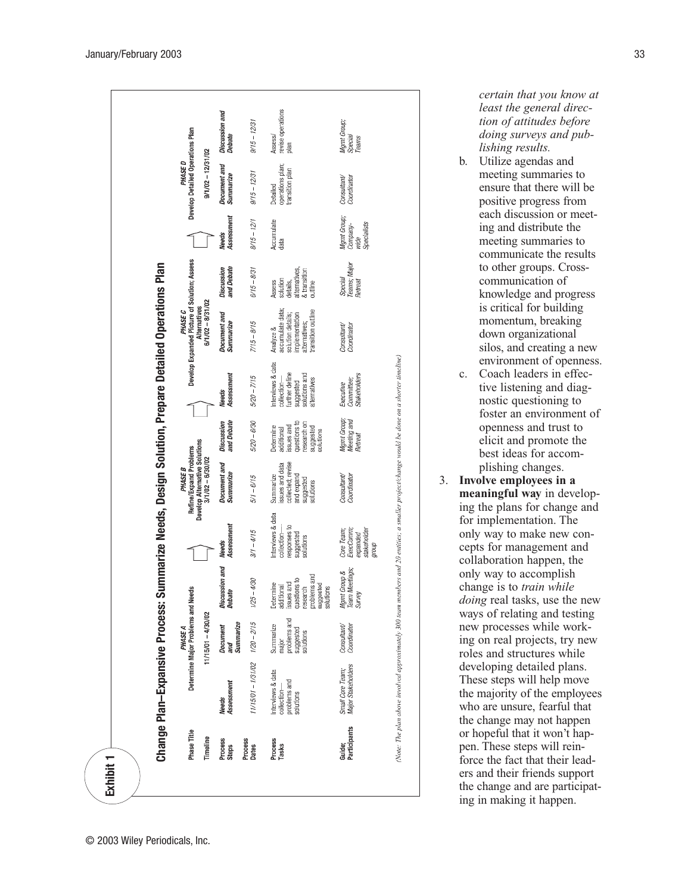|                         | Change Plan-Expansive Process: Summarize Needs, Design Solution, Prepare Detailed Operations Plan |                                                              |                                                                                                             |                                                                            |                                                                                          |                                                                                               |                                                                                                |                                                                                                            |                                                                            |                                                |                                                    |                                            |
|-------------------------|---------------------------------------------------------------------------------------------------|--------------------------------------------------------------|-------------------------------------------------------------------------------------------------------------|----------------------------------------------------------------------------|------------------------------------------------------------------------------------------|-----------------------------------------------------------------------------------------------|------------------------------------------------------------------------------------------------|------------------------------------------------------------------------------------------------------------|----------------------------------------------------------------------------|------------------------------------------------|----------------------------------------------------|--------------------------------------------|
| Phase Title             |                                                                                                   | Determine Major Problems and Needs<br><b>PHASE A</b>         |                                                                                                             |                                                                            | <b>Develop Alternative Solutions</b><br>Refine/Expand Problems<br><b>PHASE B</b>         |                                                                                               |                                                                                                | Develop Expanded Picture of Solution; Assess<br>Alternatives<br><b>PHASE C</b>                             |                                                                            |                                                | Develop Detailed Operations Plan<br><b>PHASE D</b> |                                            |
| Timeline                |                                                                                                   | 11/15/01 - 4/30/02                                           |                                                                                                             |                                                                            | $3/1/02 - 6/30/02$                                                                       |                                                                                               |                                                                                                | $6/1/02 - 8/31/02$                                                                                         |                                                                            |                                                | $9/1/02 - 12/31/02$                                |                                            |
| Process<br><b>Steps</b> | Assessment<br><b>Needs</b>                                                                        | Summarize<br>Document<br>and                                 | Discussion and<br>Debate                                                                                    | Assessment<br><b>Needs</b>                                                 | <b>Document</b> and<br>Summarize                                                         | and Debate<br>Discussion                                                                      | Assessment<br><b>Needs</b>                                                                     | Document and<br><b>Summarize</b>                                                                           | and Debate<br>Discussion                                                   | Assessment<br><b>Needs</b>                     | Document and<br>Summarize                          | Discussion and<br>Debate                   |
| Process<br>Dates        | 11/15/01 - 1/31/02                                                                                | $1/20 - 2/15$                                                | 4/30<br>$1/25 -$                                                                                            | $3/1 - 4/15$                                                               | $5/1 - 6/15$                                                                             | 5/20 - 6/30                                                                                   | $5/20 - 7/15$                                                                                  | $7/15 - 8/15$                                                                                              | $6/15 - 8/31$                                                              | $8/15 - 12/1$                                  | $9/15 - 12/31$                                     | $9/15 - 12/31$                             |
| Process<br>Tasks        | nterviews & data<br>problems and<br>collection-<br>solutions                                      | problems and<br>Summarize<br>suggested<br>solutions<br>major | problems and<br>questions to<br>issues and<br>Determine<br>suggested<br>solutions<br>research<br>additional | Interviews & data<br>of sesuodse.<br>collection-<br>suggested<br>solutions | collected; revise<br>ssues and data<br>Summarize<br>and expand<br>suggested<br>solutions | questions to<br>research on<br>Determine<br>ssues and<br>suggested<br>solutions<br>additional | nterviews & data<br>urther define<br>solutions and<br>collection-<br>alternatives<br>suggested | accumulate data;<br>ransition outline<br>implementation<br>solution details;<br>alternatives;<br>Analyze & | alternatives,<br>& transition<br>solution<br>details,<br>Assess<br>outline | Accumulate<br>data                             | operations plan;<br>transition plan<br>Detailed    | revise operations<br>Assess/<br>olan       |
| Participants<br>Guide;  | Major Stakeholders<br>Small Core Team;                                                            | Consultant/<br>Coordinator                                   | Mgmt Group &<br>Team Meetings;<br>Survey                                                                    | stakeholder<br>ExecComm,<br>Core Team;<br>expanded<br>group                | Consultant/<br>Coordinator                                                               | Mgmt Group;<br>Meeting and<br>Retreat                                                         | <b>Stakeholders</b><br>Committee;<br>Executive                                                 | Consultant/<br>Coordinator                                                                                 | Special<br>Teams; Major<br>Retreat                                         | Mgmt Group;<br>Specialists<br>Company-<br>wide | Consultant/<br>Coordinator                         | Mgmt Group;<br>Special<br>eams <sup></sup> |

*certain that you know at least the general direction of attitudes before doing surveys and publishing results.*

- b. Utilize agendas and meeting summaries to ensure that there will be positive progress from each discussion or meeting and distribute the meeting summaries to communicate the results to other groups. Crosscommunication of knowledge and progress is critical for building momentum, breaking down organizational silos, and creating a new environment of openness.
- c. Coach leaders in effective listening and diagnostic questioning to foster an environment of openness and trust to elicit and promote the best ideas for accomplishing changes.
- 3. **Involve employees in a meaningful way** in developing the plans for change and for implementation. The only way to make new concepts for management and collaboration happen, the only way to accomplish change is to *train while doing* real tasks, use the new ways of relating and testing new processes while working on real projects, try new roles and structures while developing detailed plans. These steps will help move the majority of the employees who are unsure, fearful that the change may not happen or hopeful that it won't happen. These steps will reinforce the fact that their leaders and their friends support the change and are participating in making it happen.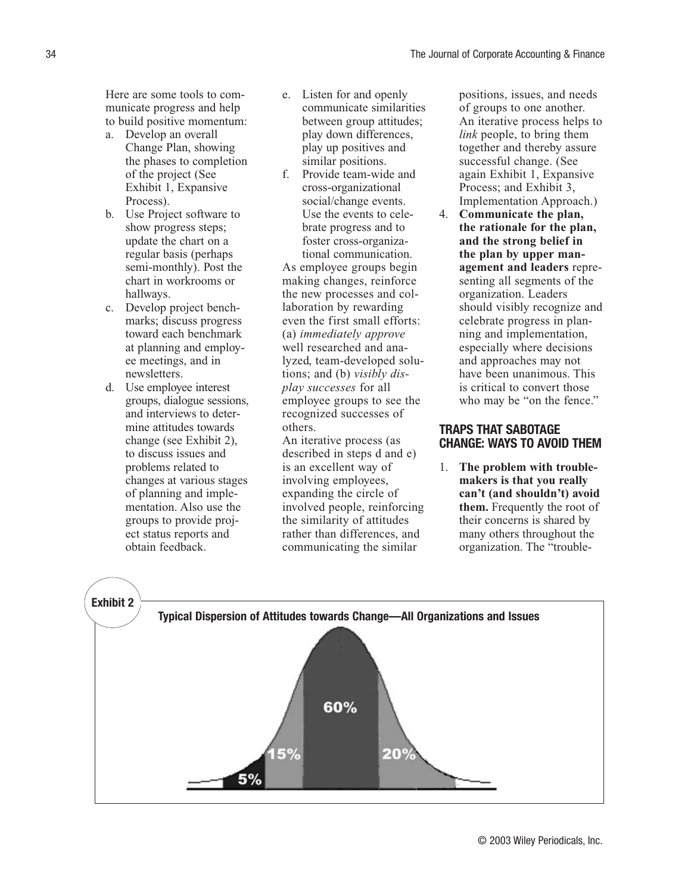Here are some tools to communicate progress and help to build positive momentum:

- a. Develop an overall Change Plan, showing the phases to completion of the project (See Exhibit 1, Expansive Process).
- b. Use Project software to show progress steps; update the chart on a regular basis (perhaps semi-monthly). Post the chart in workrooms or hallways.
- c. Develop project benchmarks; discuss progress toward each benchmark at planning and employee meetings, and in newsletters.
- d. Use employee interest groups, dialogue sessions, and interviews to determine attitudes towards change (see Exhibit 2), to discuss issues and problems related to changes at various stages of planning and implementation. Also use the groups to provide project status reports and obtain feedback.
- e. Listen for and openly communicate similarities between group attitudes; play down differences, play up positives and similar positions.
- f. Provide team-wide and cross-organizational social/change events. Use the events to celebrate progress and to foster cross-organizational communication. As employee groups begin making changes, reinforce the new processes and collaboration by rewarding even the first small efforts: (a) *immediately approve* well researched and analyzed, team-developed solutions; and (b) *visibly display successes* for all employee groups to see the recognized successes of others.

An iterative process (as described in steps d and e) is an excellent way of involving employees, expanding the circle of involved people, reinforcing the similarity of attitudes rather than differences, and communicating the similar

positions, issues, and needs of groups to one another. An iterative process helps to *link* people, to bring them together and thereby assure successful change. (See again Exhibit 1, Expansive Process; and Exhibit 3, Implementation Approach.)

4. **Communicate the plan, the rationale for the plan, and the strong belief in the plan by upper management and leaders** representing all segments of the organization. Leaders should visibly recognize and celebrate progress in planning and implementation, especially where decisions and approaches may not have been unanimous. This is critical to convert those who may be "on the fence."

#### **TRAPS THAT SABOTAGE CHANGE: WAYS TO AVOID THEM**

1. **The problem with troublemakers is that you really can't (and shouldn't) avoid them.** Frequently the root of their concerns is shared by many others throughout the organization. The "trouble-

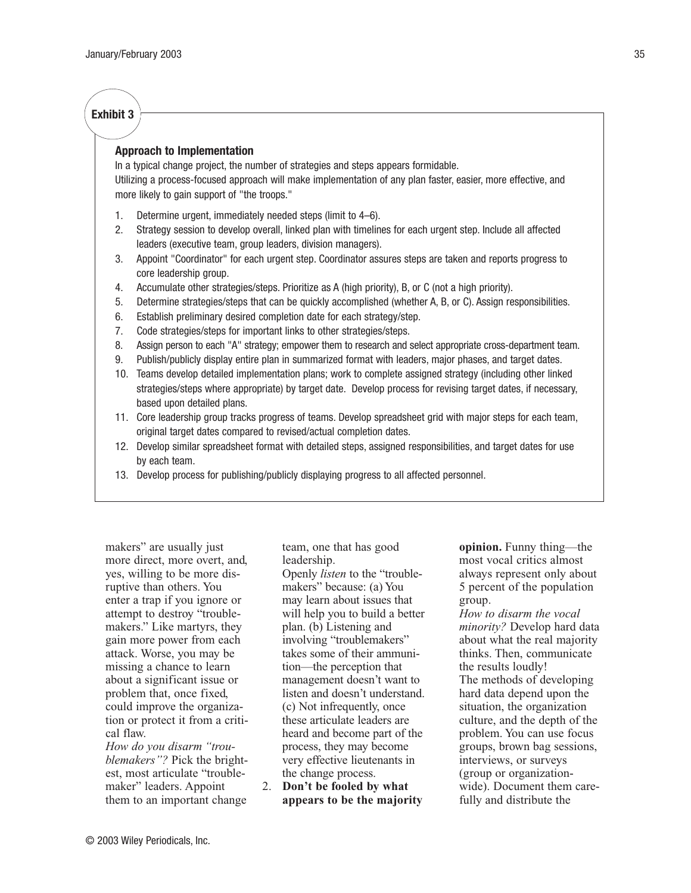## **Exhibit 3**

#### **Approach to Implementation**

In a typical change project, the number of strategies and steps appears formidable.

Utilizing a process-focused approach will make implementation of any plan faster, easier, more effective, and more likely to gain support of "the troops."

- 1. Determine urgent, immediately needed steps (limit to 4–6).
- 2. Strategy session to develop overall, linked plan with timelines for each urgent step. Include all affected leaders (executive team, group leaders, division managers).
- 3. Appoint "Coordinator" for each urgent step. Coordinator assures steps are taken and reports progress to core leadership group.
- 4. Accumulate other strategies/steps. Prioritize as A (high priority), B, or C (not a high priority).
- 5. Determine strategies/steps that can be quickly accomplished (whether A, B, or C). Assign responsibilities.
- 6. Establish preliminary desired completion date for each strategy/step.
- 7. Code strategies/steps for important links to other strategies/steps.
- 8. Assign person to each "A" strategy; empower them to research and select appropriate cross-department team.
- 9. Publish/publicly display entire plan in summarized format with leaders, major phases, and target dates.
- 10. Teams develop detailed implementation plans; work to complete assigned strategy (including other linked strategies/steps where appropriate) by target date. Develop process for revising target dates, if necessary, based upon detailed plans.
- 11. Core leadership group tracks progress of teams. Develop spreadsheet grid with major steps for each team, original target dates compared to revised/actual completion dates.
- 12. Develop similar spreadsheet format with detailed steps, assigned responsibilities, and target dates for use by each team.
- 13. Develop process for publishing/publicly displaying progress to all affected personnel.

makers" are usually just more direct, more overt, and, yes, willing to be more disruptive than others. You enter a trap if you ignore or attempt to destroy "troublemakers." Like martyrs, they gain more power from each attack. Worse, you may be missing a chance to learn about a significant issue or problem that, once fixed, could improve the organization or protect it from a critical flaw.

*How do you disarm "troublemakers"?* Pick the brightest, most articulate "troublemaker" leaders. Appoint them to an important change team, one that has good leadership.

Openly *listen* to the "troublemakers" because: (a) You may learn about issues that will help you to build a better plan. (b) Listening and involving "troublemakers" takes some of their ammunition—the perception that management doesn't want to listen and doesn't understand. (c) Not infrequently, once these articulate leaders are heard and become part of the process, they may become very effective lieutenants in the change process.

2. **Don't be fooled by what appears to be the majority** **opinion.** Funny thing—the most vocal critics almost always represent only about 5 percent of the population group.

*How to disarm the vocal minority?* Develop hard data about what the real majority thinks. Then, communicate the results loudly! The methods of developing hard data depend upon the situation, the organization culture, and the depth of the problem. You can use focus groups, brown bag sessions, interviews, or surveys (group or organizationwide). Document them carefully and distribute the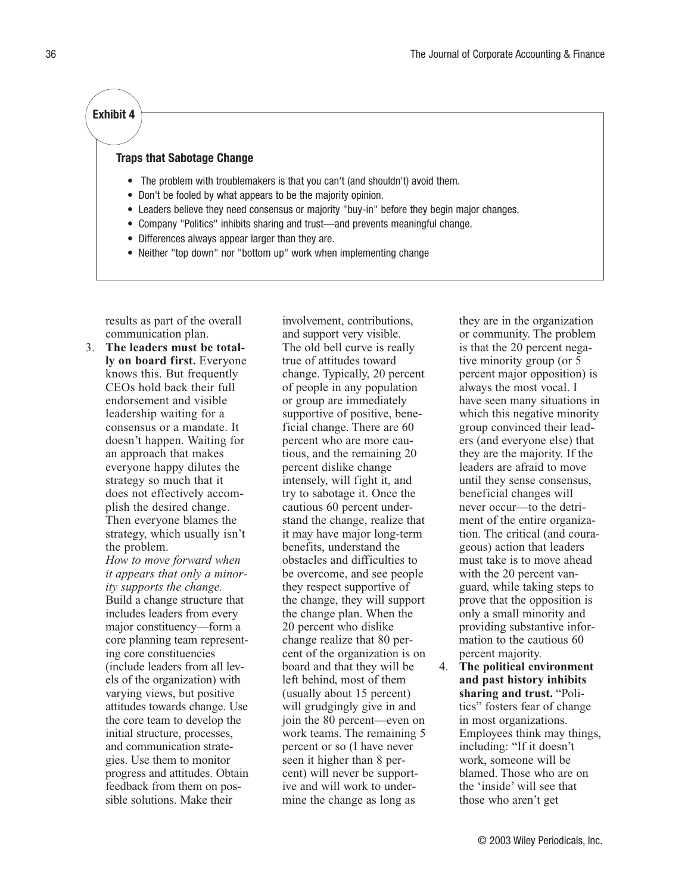#### **Exhibit 4**

**Traps that Sabotage Change**

- The problem with troublemakers is that you can't (and shouldn't) avoid them.
- Don't be fooled by what appears to be the majority opinion.
- Leaders believe they need consensus or majority "buy-in" before they begin major changes.
- Company "Politics" inhibits sharing and trust—and prevents meaningful change.
- Differences always appear larger than they are.
- Neither "top down" nor "bottom up" work when implementing change

results as part of the overall communication plan.

3. **The leaders must be totally on board first.** Everyone knows this. But frequently CEOs hold back their full endorsement and visible leadership waiting for a consensus or a mandate. It doesn't happen. Waiting for an approach that makes everyone happy dilutes the strategy so much that it does not effectively accomplish the desired change. Then everyone blames the strategy, which usually isn't the problem. *How to move forward when*

*it appears that only a minority supports the change.* Build a change structure that includes leaders from every major constituency—form a core planning team representing core constituencies (include leaders from all levels of the organization) with varying views, but positive attitudes towards change. Use the core team to develop the initial structure, processes, and communication strategies. Use them to monitor progress and attitudes. Obtain feedback from them on possible solutions. Make their

involvement, contributions, and support very visible. The old bell curve is really true of attitudes toward change. Typically, 20 percent of people in any population or group are immediately supportive of positive, beneficial change. There are 60 percent who are more cautious, and the remaining 20 percent dislike change intensely, will fight it, and try to sabotage it. Once the cautious 60 percent understand the change, realize that it may have major long-term benefits, understand the obstacles and difficulties to be overcome, and see people they respect supportive of the change, they will support the change plan. When the 20 percent who dislike change realize that 80 percent of the organization is on board and that they will be left behind, most of them (usually about 15 percent) will grudgingly give in and join the 80 percent—even on work teams. The remaining 5 percent or so (I have never seen it higher than 8 percent) will never be supportive and will work to undermine the change as long as

they are in the organization or community. The problem is that the 20 percent negative minority group (or 5 percent major opposition) is always the most vocal. I have seen many situations in which this negative minority group convinced their leaders (and everyone else) that they are the majority. If the leaders are afraid to move until they sense consensus, beneficial changes will never occur—to the detriment of the entire organization. The critical (and courageous) action that leaders must take is to move ahead with the 20 percent vanguard, while taking steps to prove that the opposition is only a small minority and providing substantive information to the cautious 60 percent majority.

4. **The political environment and past history inhibits sharing and trust.** "Politics" fosters fear of change in most organizations. Employees think may things, including: "If it doesn't work, someone will be blamed. Those who are on the 'inside' will see that those who aren't get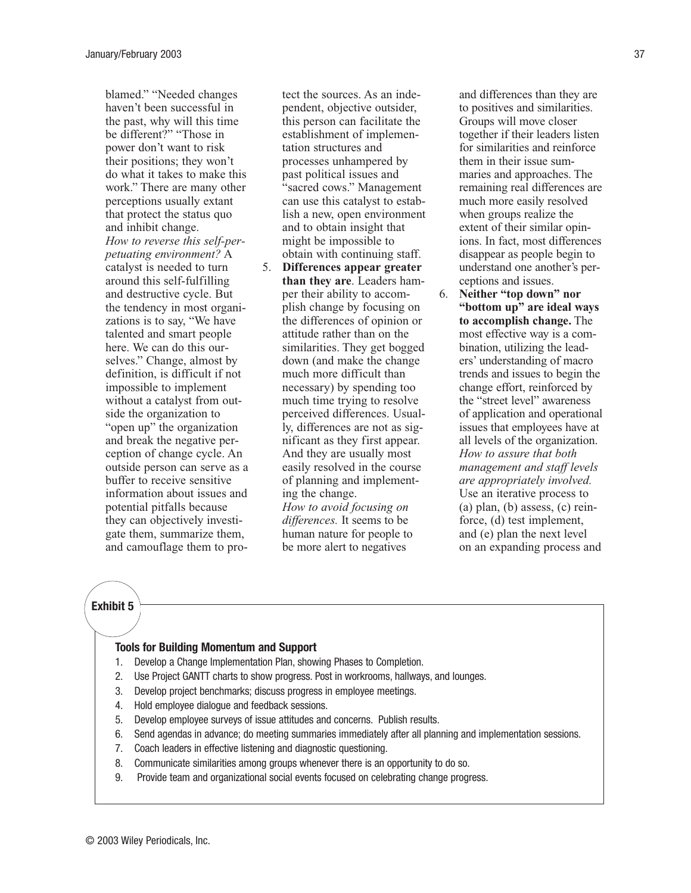blamed." "Needed changes haven't been successful in the past, why will this time be different?" "Those in power don't want to risk their positions; they won't do what it takes to make this work." There are many other perceptions usually extant that protect the status quo and inhibit change.

*How to reverse this self-perpetuating environment?* A catalyst is needed to turn around this self-fulfilling and destructive cycle. But the tendency in most organizations is to say, "We have talented and smart people here. We can do this ourselves." Change, almost by definition, is difficult if not impossible to implement without a catalyst from outside the organization to "open up" the organization and break the negative perception of change cycle. An outside person can serve as a buffer to receive sensitive information about issues and potential pitfalls because they can objectively investigate them, summarize them, and camouflage them to protect the sources. As an independent, objective outsider, this person can facilitate the establishment of implementation structures and processes unhampered by past political issues and "sacred cows." Management can use this catalyst to establish a new, open environment and to obtain insight that might be impossible to obtain with continuing staff.

5. **Differences appear greater than they are**. Leaders hamper their ability to accomplish change by focusing on the differences of opinion or attitude rather than on the similarities. They get bogged down (and make the change much more difficult than necessary) by spending too much time trying to resolve perceived differences. Usually, differences are not as significant as they first appear. And they are usually most easily resolved in the course of planning and implementing the change. *How to avoid focusing on differences.* It seems to be human nature for people to be more alert to negatives

and differences than they are to positives and similarities. Groups will move closer together if their leaders listen for similarities and reinforce them in their issue summaries and approaches. The remaining real differences are much more easily resolved when groups realize the extent of their similar opinions. In fact, most differences disappear as people begin to understand one another's perceptions and issues.

6. **Neither "top down" nor "bottom up" are ideal ways to accomplish change.** The most effective way is a combination, utilizing the leaders' understanding of macro trends and issues to begin the change effort, reinforced by the "street level" awareness of application and operational issues that employees have at all levels of the organization. *How to assure that both management and staff levels are appropriately involved.* Use an iterative process to (a) plan, (b) assess, (c) reinforce, (d) test implement, and (e) plan the next level on an expanding process and

### **Exhibit 5**

#### **Tools for Building Momentum and Support**

- 1. Develop a Change Implementation Plan, showing Phases to Completion.
- 2. Use Project GANTT charts to show progress. Post in workrooms, hallways, and lounges.
- 3. Develop project benchmarks; discuss progress in employee meetings.
- 4. Hold employee dialogue and feedback sessions.
- 5. Develop employee surveys of issue attitudes and concerns. Publish results.
- 6. Send agendas in advance; do meeting summaries immediately after all planning and implementation sessions.
- 7. Coach leaders in effective listening and diagnostic questioning.
- 8. Communicate similarities among groups whenever there is an opportunity to do so.
- 9. Provide team and organizational social events focused on celebrating change progress.